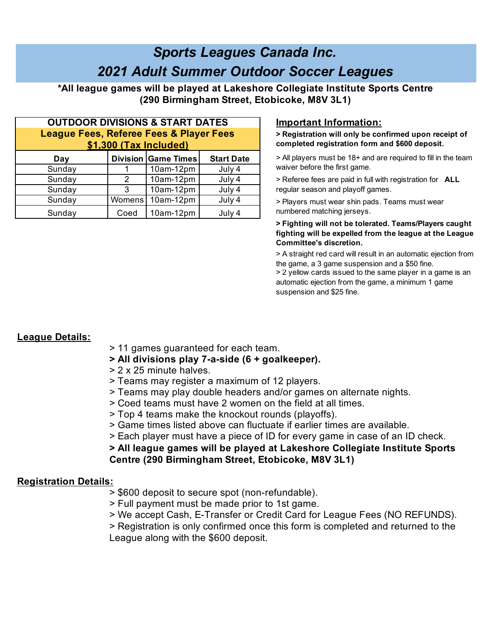# *Sports Leagues Canada Inc. 2021 Adult Summer Outdoor Soccer Leagues*

**\*All league games will be played at Lakeshore Collegiate Institute Sports Centre (290 Birmingham Street, Etobicoke, M8V 3L1)**

| <b>OUTDOOR DIVISIONS &amp; START DATES</b>         |        |                            |                   |  |
|----------------------------------------------------|--------|----------------------------|-------------------|--|
| <b>League Fees, Referee Fees &amp; Player Fees</b> |        |                            |                   |  |
| \$1,300 (Tax Included)                             |        |                            |                   |  |
| Day                                                |        | <b>Division Game Times</b> | <b>Start Date</b> |  |
| Sunday                                             |        | 10am-12pm                  | July 4            |  |
| Sunday                                             | 2      | 10am-12pm                  | July 4            |  |
| Sunday                                             | 3      | 10am-12pm                  | July 4            |  |
| Sunday                                             | Womens | 10am-12pm                  | July 4            |  |
| Sunday                                             | Coed   | 10am-12pm                  | July 4            |  |

## **Important Information:**

**> Registration will only be confirmed upon receipt of completed registration form and \$600 deposit.**

- > All players must be 18+ and are required to fill in the team waiver before the first game.
- > Referee fees are paid in full with registration for **ALL**  regular season and playoff games.
- > Players must wear shin pads. Teams must wear numbered matching jerseys.

#### **> Fighting will not be tolerated. Teams/Players caught fighting will be expelled from the league at the League Committee's discretion.**

> A straight red card will result in an automatic ejection from the game, a 3 game suspension and a \$50 fine.

> 2 yellow cards issued to the same player in a game is an automatic ejection from the game, a minimum 1 game suspension and \$25 fine.

## **League Details:**

- > 11 games guaranteed for each team.
- **> All divisions play 7-a-side (6 + goalkeeper).**
- > 2 x 25 minute halves.
- > Teams may register a maximum of 12 players.
- > Teams may play double headers and/or games on alternate nights.
- > Coed teams must have 2 women on the field at all times.
- > Top 4 teams make the knockout rounds (playoffs).
- > Game times listed above can fluctuate if earlier times are available.
- > Each player must have a piece of ID for every game in case of an ID check.

**> All league games will be played at Lakeshore Collegiate Institute Sports** 

# **Centre (290 Birmingham Street, Etobicoke, M8V 3L1)**

#### **Registration Details:**

- > \$600 deposit to secure spot (non-refundable).
- > Full payment must be made prior to 1st game.
- > We accept Cash, E-Transfer or Credit Card for League Fees (NO REFUNDS).

> Registration is only confirmed once this form is completed and returned to the League along with the \$600 deposit.